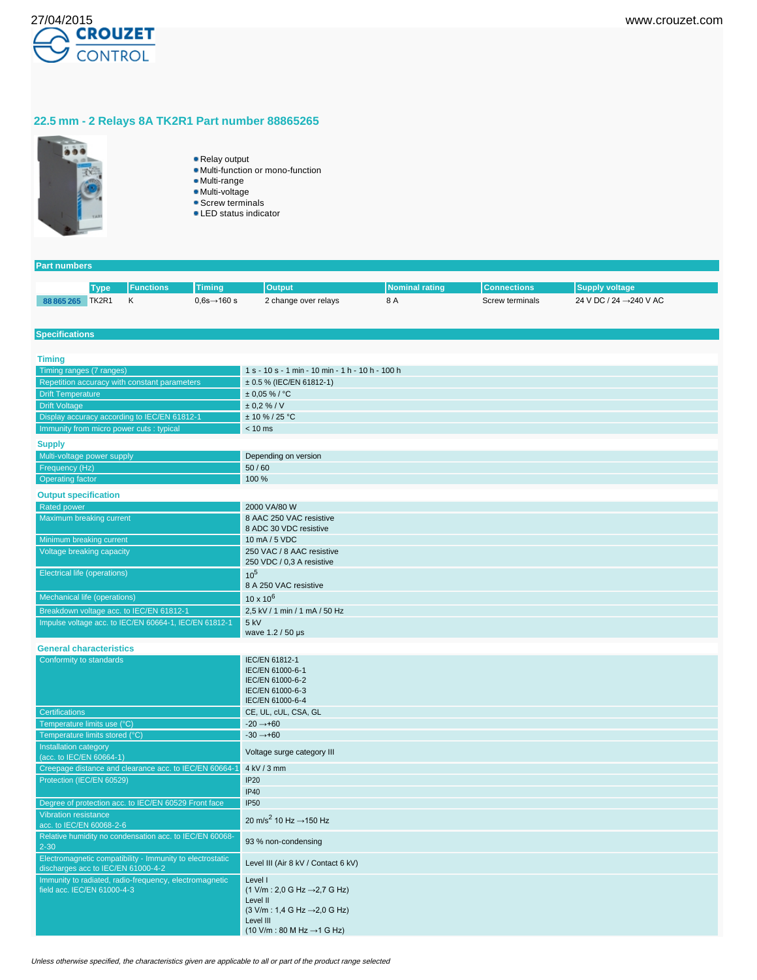

## **22.5 mm - 2 Relays 8A TK2R1 Part number 88865265**



- Relay output
	- Multi-function or mono-function
	- Multi-range
	- Multi-voltage
	- **Screw terminals** ● LED status indicator
	-

| <b>Part numbers</b>                          |             |                                                           |                                                        |                                                                   |                       |                    |                         |  |
|----------------------------------------------|-------------|-----------------------------------------------------------|--------------------------------------------------------|-------------------------------------------------------------------|-----------------------|--------------------|-------------------------|--|
|                                              | <b>Type</b> | <b>Functions</b>                                          | <b>Timing</b>                                          | <b>Output</b>                                                     | <b>Nominal rating</b> | <b>Connections</b> | <b>Supply voltage</b>   |  |
|                                              |             | Κ                                                         | $0,6s \rightarrow 160s$                                |                                                                   | 8 A                   |                    | 24 V DC / 24 → 240 V AC |  |
| 88 865 265 TK2R1                             |             |                                                           |                                                        | 2 change over relays                                              |                       | Screw terminals    |                         |  |
|                                              |             |                                                           |                                                        |                                                                   |                       |                    |                         |  |
| <b>Specifications</b>                        |             |                                                           |                                                        |                                                                   |                       |                    |                         |  |
|                                              |             |                                                           |                                                        |                                                                   |                       |                    |                         |  |
| <b>Timing</b>                                |             |                                                           |                                                        |                                                                   |                       |                    |                         |  |
| Timing ranges (7 ranges)                     |             |                                                           |                                                        | 1 s - 10 s - 1 min - 10 min - 1 h - 10 h - 100 h                  |                       |                    |                         |  |
|                                              |             | Repetition accuracy with constant parameters              |                                                        | $\pm$ 0.5 % (IEC/EN 61812-1)                                      |                       |                    |                         |  |
| <b>Drift Temperature</b>                     |             |                                                           |                                                        | $± 0,05 %$ / °C                                                   |                       |                    |                         |  |
| <b>Drift Voltage</b>                         |             |                                                           |                                                        | ± 0.2 % / V                                                       |                       |                    |                         |  |
| Display accuracy according to IEC/EN 61812-1 |             |                                                           |                                                        | $± 10 \% / 25 °C$                                                 |                       |                    |                         |  |
|                                              |             | Immunity from micro power cuts : typical                  |                                                        | $< 10$ ms                                                         |                       |                    |                         |  |
| <b>Supply</b>                                |             |                                                           |                                                        |                                                                   |                       |                    |                         |  |
| Multi-voltage power supply                   |             |                                                           |                                                        | Depending on version                                              |                       |                    |                         |  |
| Frequency (Hz)                               |             |                                                           |                                                        | 50/60                                                             |                       |                    |                         |  |
| <b>Operating factor</b>                      |             |                                                           |                                                        | 100 %                                                             |                       |                    |                         |  |
| <b>Output specification</b>                  |             |                                                           |                                                        |                                                                   |                       |                    |                         |  |
| <b>Rated power</b>                           |             |                                                           |                                                        | 2000 VA/80 W                                                      |                       |                    |                         |  |
| Maximum breaking current                     |             |                                                           |                                                        | 8 AAC 250 VAC resistive                                           |                       |                    |                         |  |
|                                              |             |                                                           |                                                        | 8 ADC 30 VDC resistive                                            |                       |                    |                         |  |
| Minimum breaking current                     |             |                                                           |                                                        | 10 mA / 5 VDC                                                     |                       |                    |                         |  |
| Voltage breaking capacity                    |             |                                                           |                                                        | 250 VAC / 8 AAC resistive                                         |                       |                    |                         |  |
|                                              |             |                                                           |                                                        | 250 VDC / 0,3 A resistive                                         |                       |                    |                         |  |
| <b>Electrical life (operations)</b>          |             |                                                           |                                                        | 10 <sup>5</sup>                                                   |                       |                    |                         |  |
|                                              |             |                                                           |                                                        | 8 A 250 VAC resistive                                             |                       |                    |                         |  |
| <b>Mechanical life (operations)</b>          |             |                                                           |                                                        | $10 \times 10^{6}$                                                |                       |                    |                         |  |
|                                              |             | Breakdown voltage acc. to IEC/EN 61812-1                  |                                                        | 2,5 kV / 1 min / 1 mA / 50 Hz                                     |                       |                    |                         |  |
|                                              |             | Impulse voltage acc. to IEC/EN 60664-1, IEC/EN 61812-1    |                                                        | 5 kV                                                              |                       |                    |                         |  |
|                                              |             |                                                           |                                                        | wave 1.2 / 50 µs                                                  |                       |                    |                         |  |
| <b>General characteristics</b>               |             |                                                           |                                                        |                                                                   |                       |                    |                         |  |
| Conformity to standards                      |             |                                                           |                                                        | IEC/EN 61812-1                                                    |                       |                    |                         |  |
|                                              |             |                                                           |                                                        | IEC/EN 61000-6-1                                                  |                       |                    |                         |  |
|                                              |             |                                                           |                                                        | IEC/EN 61000-6-2                                                  |                       |                    |                         |  |
|                                              |             |                                                           |                                                        | IEC/EN 61000-6-3<br>IEC/EN 61000-6-4                              |                       |                    |                         |  |
| <b>Certifications</b>                        |             |                                                           |                                                        | CE, UL, cUL, CSA, GL                                              |                       |                    |                         |  |
| Temperature limits use (°C)                  |             |                                                           |                                                        | $-20 \rightarrow +60$                                             |                       |                    |                         |  |
| Temperature limits stored (°C)               |             |                                                           |                                                        | $-30 \rightarrow +60$                                             |                       |                    |                         |  |
| Installation category                        |             |                                                           |                                                        |                                                                   |                       |                    |                         |  |
| (acc. to IEC/EN 60664-1)                     |             |                                                           |                                                        | Voltage surge category III                                        |                       |                    |                         |  |
|                                              |             |                                                           | Creepage distance and clearance acc. to IEC/EN 60664-1 | 4 kV / 3 mm                                                       |                       |                    |                         |  |
| Protection (IEC/EN 60529)                    |             |                                                           |                                                        | <b>IP20</b>                                                       |                       |                    |                         |  |
|                                              |             |                                                           |                                                        | <b>IP40</b>                                                       |                       |                    |                         |  |
|                                              |             | Degree of protection acc. to IEC/EN 60529 Front face      |                                                        | <b>IP50</b>                                                       |                       |                    |                         |  |
| Vibration resistance                         |             |                                                           |                                                        | 20 m/s <sup>2</sup> 10 Hz $\rightarrow$ 150 Hz                    |                       |                    |                         |  |
| acc. to IEC/EN 60068-2-6                     |             |                                                           |                                                        |                                                                   |                       |                    |                         |  |
|                                              |             | Relative humidity no condensation acc. to IEC/EN 60068-   |                                                        | 93 % non-condensing                                               |                       |                    |                         |  |
| $2 - 30$                                     |             | Electromagnetic compatibility - Immunity to electrostatic |                                                        |                                                                   |                       |                    |                         |  |
|                                              |             | discharges acc to IEC/EN 61000-4-2                        |                                                        | Level III (Air 8 kV / Contact 6 kV)                               |                       |                    |                         |  |
|                                              |             | Immunity to radiated, radio-frequency, electromagnetic    |                                                        | Level I                                                           |                       |                    |                         |  |
| field acc. IEC/EN 61000-4-3                  |             |                                                           |                                                        | $(1 \text{ V/m} : 2,0 \text{ G Hz} \rightarrow 2,7 \text{ G Hz})$ |                       |                    |                         |  |
|                                              |             |                                                           |                                                        | Level II                                                          |                       |                    |                         |  |
|                                              |             |                                                           |                                                        | $(3 \text{ V/m} : 1,4 \text{ G Hz} \rightarrow 2,0 \text{ G Hz})$ |                       |                    |                         |  |
|                                              |             |                                                           |                                                        | Level III                                                         |                       |                    |                         |  |

 $(10 \text{ V/m} : 80 \text{ M Hz} \rightarrow 1 \text{ G Hz})$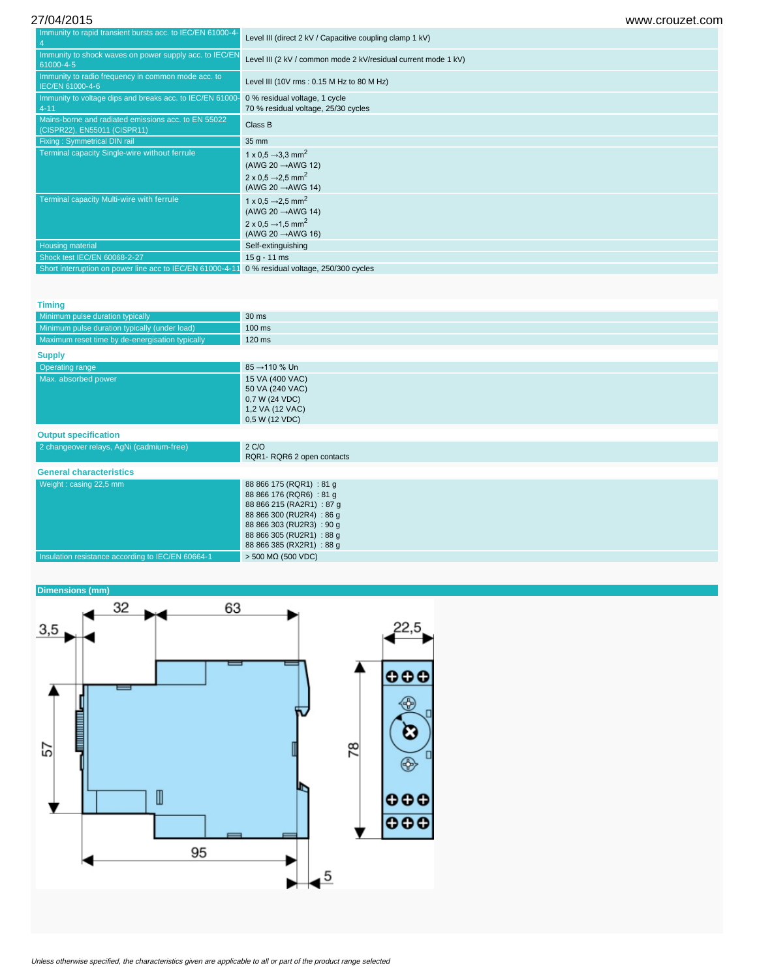| Immunity to rapid transient bursts acc. to IEC/EN 61000-4-                          | Level III (direct 2 kV / Capacitive coupling clamp 1 kV)                                                                                                 |
|-------------------------------------------------------------------------------------|----------------------------------------------------------------------------------------------------------------------------------------------------------|
| Immunity to shock waves on power supply acc. to IEC/EN<br>61000-4-5                 | Level III (2 kV / common mode 2 kV/residual current mode 1 kV)                                                                                           |
| Immunity to radio frequency in common mode acc. to<br>IEC/EN 61000-4-6              | Level III (10V rms: 0.15 M Hz to 80 M Hz)                                                                                                                |
| Immunity to voltage dips and breaks acc. to IEC/EN 61000<br>$4 - 11$                | 0 % residual voltage, 1 cycle<br>70 % residual voltage, 25/30 cycles                                                                                     |
| Mains-borne and radiated emissions acc. to EN 55022<br>(CISPR22), EN55011 (CISPR11) | Class B                                                                                                                                                  |
| <b>Fixing: Symmetrical DIN rail</b>                                                 | 35 mm                                                                                                                                                    |
| Terminal capacity Single-wire without ferrule                                       | 1 x 0.5 $\rightarrow$ 3.3 mm <sup>2</sup><br>(AWG 20 $\rightarrow$ AWG 12)<br>2 x 0.5 $\rightarrow$ 2.5 mm <sup>2</sup><br>(AWG 20 $\rightarrow$ AWG 14) |
| Terminal capacity Multi-wire with ferrule                                           | 1 x 0.5 $\rightarrow$ 2.5 mm <sup>2</sup><br>(AWG 20 $\rightarrow$ AWG 14)<br>2 x 0.5 $\rightarrow$ 1.5 mm <sup>2</sup><br>(AWG 20 $\rightarrow$ AWG 16) |
| <b>Housing material</b>                                                             | Self-extinguishing                                                                                                                                       |
| Shock test IEC/EN 60068-2-27                                                        | $15 g - 11 ms$                                                                                                                                           |
| Short interruption on power line acc to IEC/EN 61000-4-1                            | 0 % residual voltage, 250/300 cycles                                                                                                                     |

| <b>Timing</b>                                     |                                                                                                                                                                                                      |
|---------------------------------------------------|------------------------------------------------------------------------------------------------------------------------------------------------------------------------------------------------------|
| Minimum pulse duration typically                  | 30 ms                                                                                                                                                                                                |
| Minimum pulse duration typically (under load)     | 100 ms                                                                                                                                                                                               |
| Maximum reset time by de-energisation typically   | 120 ms                                                                                                                                                                                               |
| <b>Supply</b>                                     |                                                                                                                                                                                                      |
| <b>Operating range</b>                            | 85 → 110 % Un                                                                                                                                                                                        |
| Max. absorbed power                               | 15 VA (400 VAC)<br>50 VA (240 VAC)<br>0,7 W (24 VDC)<br>1,2 VA (12 VAC)<br>0,5 W (12 VDC)                                                                                                            |
| <b>Output specification</b>                       |                                                                                                                                                                                                      |
| 2 changeover relays, AgNi (cadmium-free)          | 2 C/O<br>RQR1-RQR6 2 open contacts                                                                                                                                                                   |
| <b>General characteristics</b>                    |                                                                                                                                                                                                      |
| Weight: casing 22,5 mm                            | 88 866 175 (RQR1) : 81 g<br>88 866 176 (RQR6) : 81 g<br>88 866 215 (RA2R1) : 87 g<br>88 866 300 (RU2R4) : 86 g<br>88 866 303 (RU2R3): 90 g<br>88 866 305 (RU2R1) : 88 g<br>88 866 385 (RX2R1) : 88 g |
| Insulation resistance according to IEC/EN 60664-1 | $>$ 500 M $\Omega$ (500 VDC)                                                                                                                                                                         |